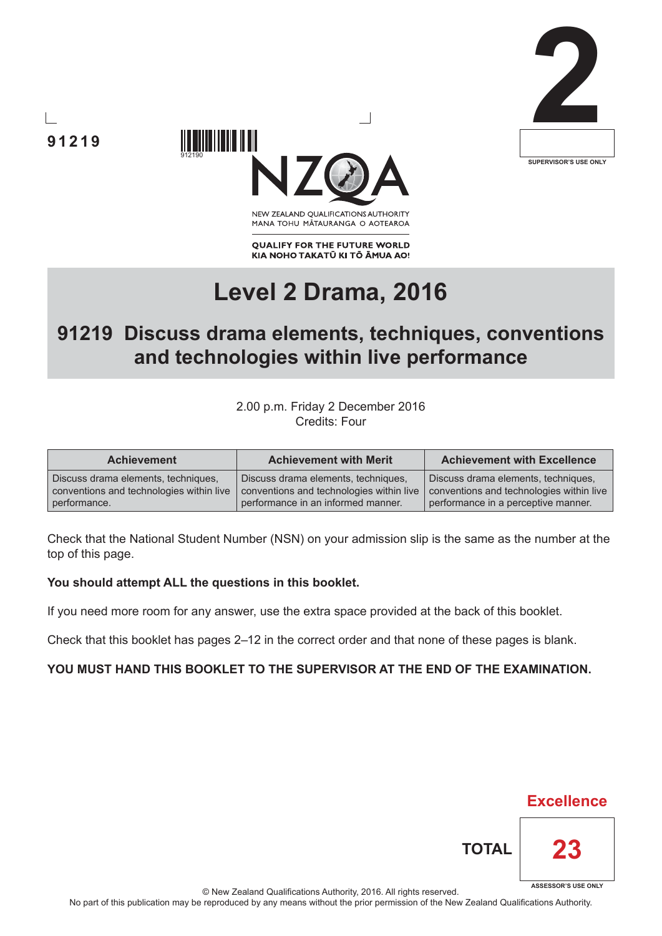



**91219**

NEW ZEALAND OUALIFICATIONS AUTHORITY MANA TOHU MATAURANGA O AOTEAROA

**QUALIFY FOR THE FUTURE WORLD** KIA NOHO TAKATŪ KI TŌ ĀMUA AO!

# **Level 2 Drama, 2016**

# **91219 Discuss drama elements, techniques, conventions and technologies within live performance**

2.00 p.m. Friday 2 December 2016 Credits: Four

| <b>Achievement</b>                       | <b>Achievement with Merit</b>            | <b>Achievement with Excellence</b>       |
|------------------------------------------|------------------------------------------|------------------------------------------|
| Discuss drama elements, techniques,      | Discuss drama elements, techniques,      | Discuss drama elements, techniques,      |
| conventions and technologies within live | conventions and technologies within live | conventions and technologies within live |
| performance.                             | performance in an informed manner.       | performance in a perceptive manner.      |

Check that the National Student Number (NSN) on your admission slip is the same as the number at the top of this page.

#### **You should attempt ALL the questions in this booklet.**

If you need more room for any answer, use the extra space provided at the back of this booklet.

Check that this booklet has pages 2–12 in the correct order and that none of these pages is blank.

#### **YOU MUST HAND THIS BOOKLET TO THE SUPERVISOR AT THE END OF THE EXAMINATION.**



**TOTAL**

**Excellence**

**23**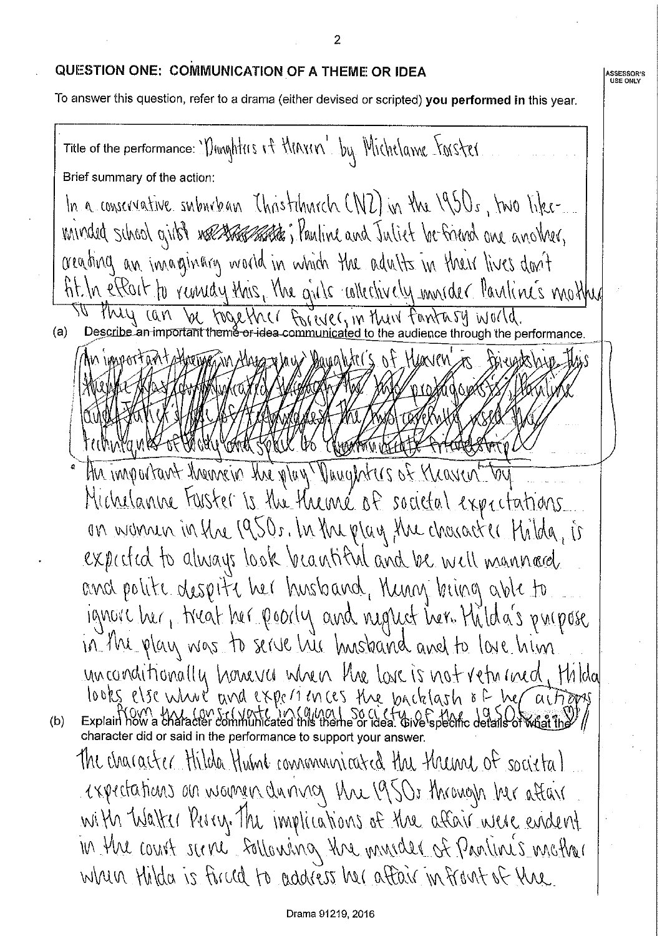#### QUESTION ONE: COMMUNICATION OF A THEME OR IDEA

**ASSESSOR'S**<br>USE ONLY

To answer this question, refer to a drama (either devised or scripted) you performed in this year.

 $\overline{2}$ 

Title of the performance: 'Unnghters it Minim' by Michelame Forster Brief summary of the action: In a conservative suburban Thristohnich (NZ) in the 1950s, two likeuninded school girls? we start that in lauline and Juliet be finend one another, areading an incarginary world in which the adults in their lives don't fit. In effort to remindly this, the girls collectively innider Pauline's mother Phily 1911 be together Forever, in their fantasy world.  $(a)$ an Alarazy la w Dayahar (S of Hyavev Hu important themein the play. Dunghters of Kraven-bu Michelanne Foster is the theme of societal expectations. on nomen in the 1950s. In the play the character Hilda, is expected to always look beachtful and be well manned. and polite despite her husband, Munn bring able to ignore her, treat her poorly and night her. Hilda's propose in the play was to serve his knowand and to love him unconditionally hourves when the love is not returned, thildal looks else where and experiences the backlash of her actions  $Explain how a character  $con$$  $(b)$ character did or said in the performance to support your answer. The character Hilda Hume communicated the therme of societa) expectations on women during the 1950s through her attain with Walker Perry. The implications of the affair were evident In the court serve sollowing the minder of Pratinis mather when thilda is fined to address her affair in front of the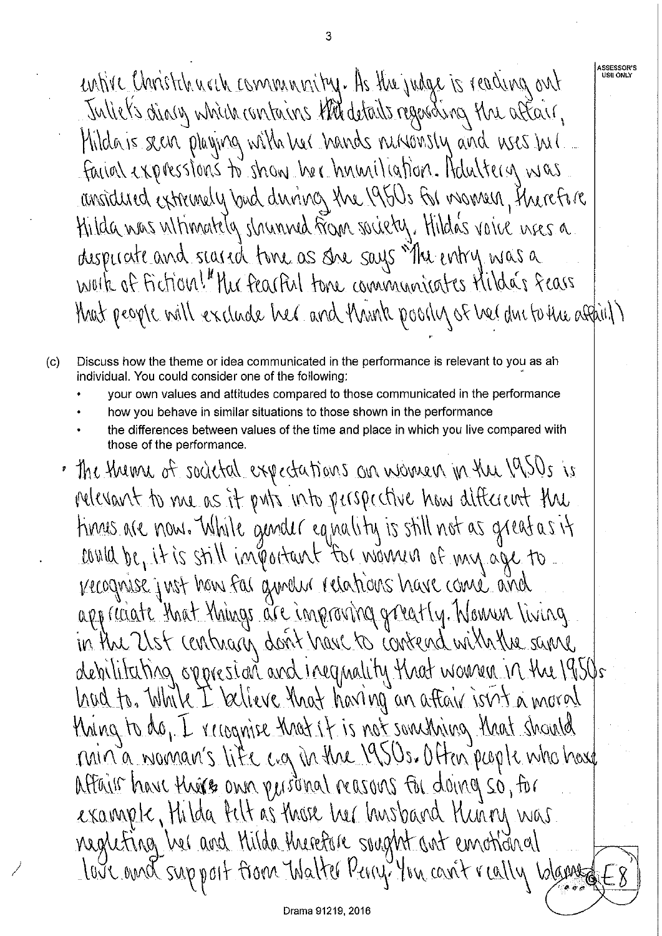**ASSESSOR'S**<br>USE ONLY entire Christelancech community. As the judge is reading ont Juliet's dialy which contains this details regarding the aftair, Mildais seen playing with her hands nurrowsly and uses incl. facion expressions to show her hnuniliation. Adultery was ansidued extremely bad during the 1950s for momen, therefore Hilda nas ultimately slowaned from society. Hilda's voice nees a dispurate and seared time as she says "The entry was a work of fiction!" the feached tone communicates Milde's fears that people will exclude her and think poolly of her ducto the assail)

- Discuss how the theme or idea communicated in the performance is relevant to you as ah  $(c)$ individual. You could consider one of the following:
	- your own values and attitudes compared to those communicated in the performance
	- how you behave in similar situations to those shown in the performance
	- the differences between values of the time and place in which you live compared with those of the performance.
	- · The them of societal expectations an women in the 1950s is relevant to me as it puts into perspective how different the times are now. While gender equality is still not as great as it and be, it is still important for women of my age to. Kecognise just how for grunder relations have come and appreciate that things are improving greatly. Nowen living in the Ust contrary dont have to contend with the same debilitating oppresion and inequality that women in the 1950s had to. While I believe that having an aftair isn't a moral thing to do, I recognise that it is not something that should min'a warran's life ag in the 1950s. Often people who hast Aftair have theirs ann purinal reasons for doing so, for example, Hilda Pelt as those her husband Hunny was. negleting her and Milda therefore sought out emotional lave and support from Walter Perry You can't really Wanne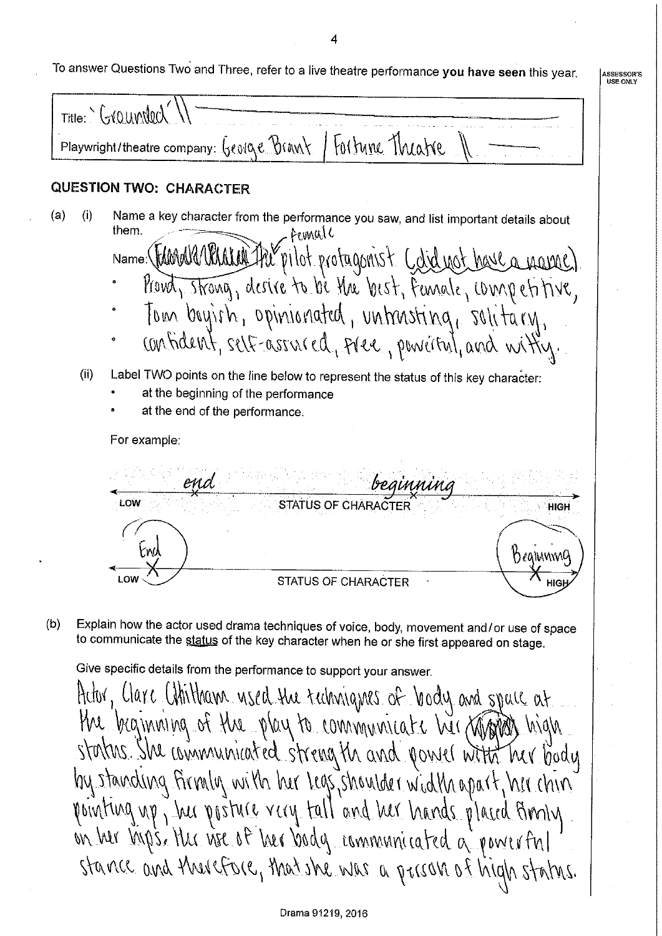4

|  |  |  |  |  |  |  | a answer Questions Two and Three, refer to a live theatre performance you have seen this year |  |  |  |
|--|--|--|--|--|--|--|-----------------------------------------------------------------------------------------------|--|--|--|
|--|--|--|--|--|--|--|-----------------------------------------------------------------------------------------------|--|--|--|

**ASSESSOR'S<br>USE ONLY** 

 $Title:$   $\sim$   $G(0)$   $M00$ Fortune Theatre Playwright/theatre company: Geolove Brawy **QUESTION TWO: CHARACTER** Name a key character from the performance you saw, and list important details about  $(a)$  $(i)$ them. Femull pilot protagonist Cdidnot have a name  $Name:\$ Provot, strong, desire to be the best, female, competitive, Tom bayish, opinionated, untrusting, solitary, confident, self-assured, free, powerful, and witty. (ii) Label TWO points on the line below to represent the status of this key character: at the beginning of the performance at the end of the performance. For example: end. LOW STATUS OF CHARACTER **HIGH** rw Dealwww0 **I** OW **STATUS OF CHARACTER** Explain how the actor used drama techniques of voice, body, movement and/or use of space  $(b)$ to communicate the status of the key character when he or she first appeared on stage. Give specific details from the performance to support your answer.

Actor, Clare Chilitham used the techniques of body and spull at the beginning of the play to communicate her Kingress high status. She winnunicated strength and power with her body by standing firmly with her legs, shoulder width apart, her chin pointing up, but posture rary tall and bur hands placed finnly on her ligs. Her nee of her body communicated a powerful stance and therefore, that she was a prison of high status.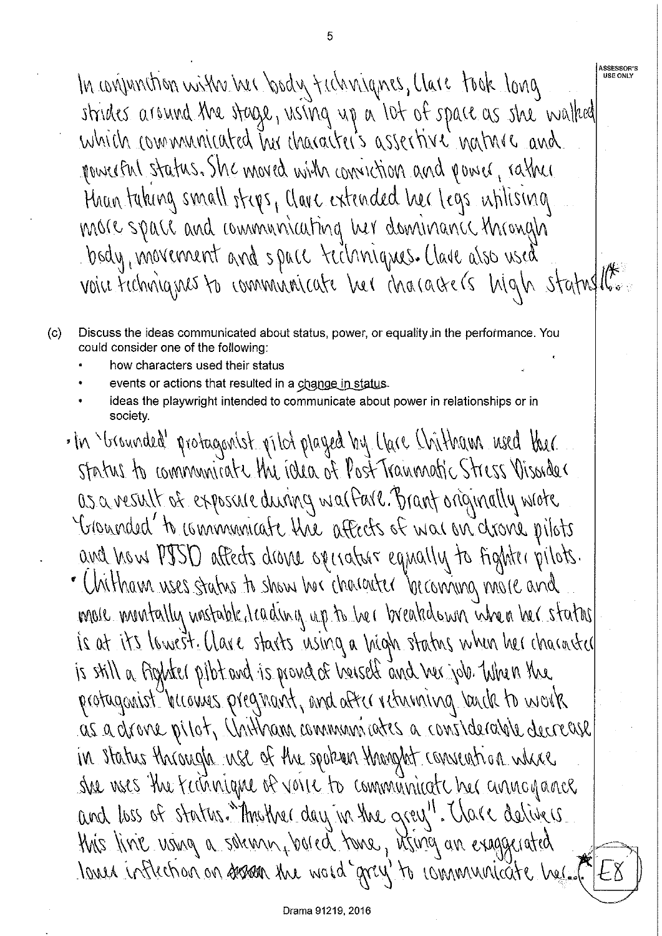**ASSESSOR'S<br>USE ONLY** In wijunction with her body techniques, Clare took long strides around the stage, using up a lot of space as she walked which communicated has character's assertive nature and powerful status. She moved with conviction and power, rather Hran taking small steps, Clarc extended her legs whilising more space and communicating her dominance through body, movement and space techniques. Clave also used voice Fechniques to communicate ber inacacters high statustion

 $(c)$ Discuss the ideas communicated about status, power, or equality, in the performance. You could consider one of the following:

- how characters used their status
- events or actions that resulted in a change in status.
- ideas the playwright intended to communicate about power in relationships or in society.
- . In Strounded' protagonist pilot played by Clare Chitham used ther Status to communicate the idea of Post Tranmatic Stress Visorder as a result of exposure during walfare. Brant originally wrote Granded to communicate the affects of war on drone pilots and how PISD affects drown operators equally to fighter pilots. · Unitham uses status to show her character becoming more and more muntally mastable, leading up to be r breakdown when her status is at its lowest. Clare starts using a high status when her character is still a fighter pibt and is proved of herself and her job. When the protagonist hirowes pregrant, and after returning lends to work as a drone pilot, Unitham communicates a considerable decrease in status through use of the spoken thanght convention where she wes the fathnique of voice to communicate her annogance and loss of status. Throther day in the grey". Thave delivers this line using a schemin, bared tome, itsing an exaggerated loved inflection on sesson the word grey to communicate her.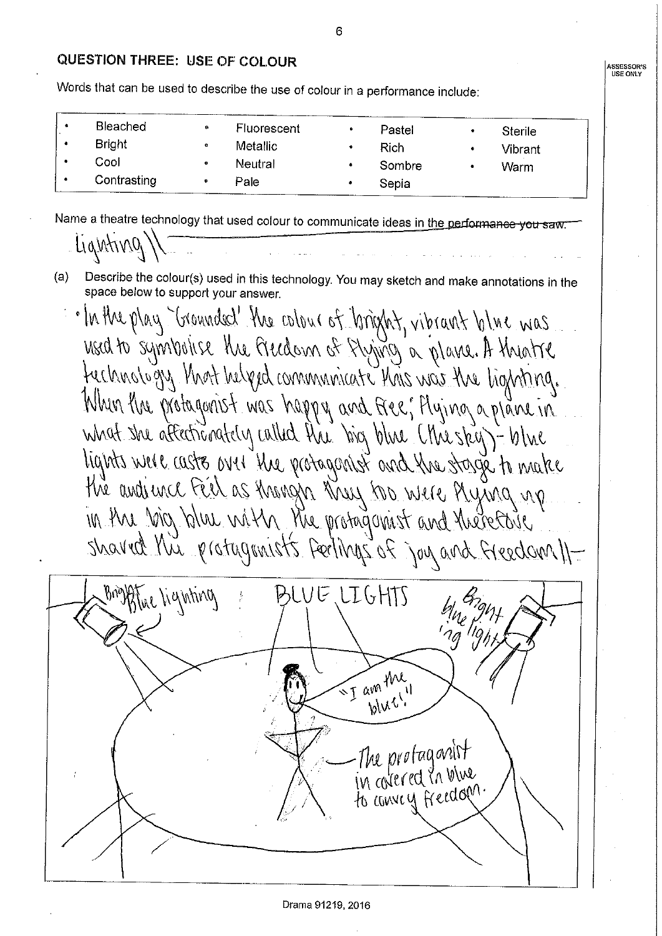#### QUESTION THREE: USE OF COLOUR

Words that can be used to describe the use of colour in a performance include:

| Bleached<br><b>Bright</b><br>Cool | a<br>۰<br>0 | Fluorescent<br><b>Metallic</b><br><b>Neutral</b> | ۰<br>٠ | Pastel<br>Rich<br>Sombre | <b>Sterile</b><br>Vibrant<br>Warm |
|-----------------------------------|-------------|--------------------------------------------------|--------|--------------------------|-----------------------------------|
| Contrasting                       |             | Pale                                             |        | Sepia                    |                                   |

Name a theatre technology that used colour to communicate ideas in the performance you saw

Lighting

- Describe the colour(s) used in this technology. You may sketch and make annotations in the (a) space below to support your answer.
	- In the play "Grounded" the colour of bright, vibrant blue was fechnology that helped communicate thus was the lighting. When the protogonist was happy and free, Hying aplane in what she affectionately called the big blue (the sky) - blue lights were caste over the protagontst and the stage to make in the big blue with the protagamist and therefore sharred this protagranists feelings of joy and freedom II-



ASSESSOR'S **USE ONLY**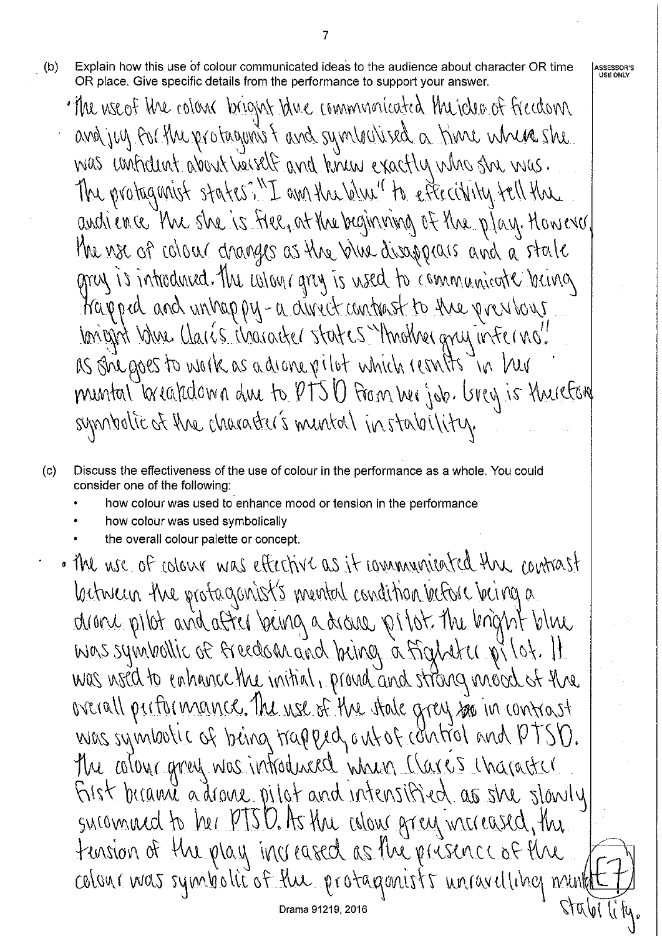Explain how this use of colour communicated ideas to the audience about character OR time  $(b)$ OR place. Give specific details from the performance to support your answer.

7

**ASSESSOR'S**<br>USE ONLY

- · The use of the colour bright thre communicated the idea of freedom and juy for the protaguns I and symbolised a hime where she was unfident about heiself and knew exactly who she was. The protaganist states?"I am the blue" to effectivity tell the andience the she is fiel, at the beginning of the play. However. the nse of colour changes as the blue disappears and a state gray is introduced. The whour gray is used to communicate being Kapped and unhappy-a direct contrast to the previous lonight blue Claris Waracker states Throther grup interno! as she goes to work as a drone pilot which results in her muntal breakdoma due to PTSO From her job. Grey is thereford symbolic of the character's mental instability.
- $(c)$ Discuss the effectiveness of the use of colour in the performance as a whole. You could consider one of the following:
	- how colour was used to enhance mood or tension in the performance
	- how colour was used symbolically
	- the overall colour palette or concept.
	- · The use of colour was effective as it communicated the countrast lactiveur the protaganist's mental condition before being a drane pilot and after being a decree pilot the knght blue was symbollic of freedom and being a fighter pilot. It was noed to enhance the initial, proud and strang mood of the overall partor mance. The use of the state gray see in contrast was symbolic of being trapped, ant of control and PTSD. the colour great was introduced when Clares character First became a drove pilot and intensified as she slowly sucommed to her PTSD. As the colon grey mereased, the tension of the play increased as the presence of the coloni was symbolic of the protagonists unravelling munt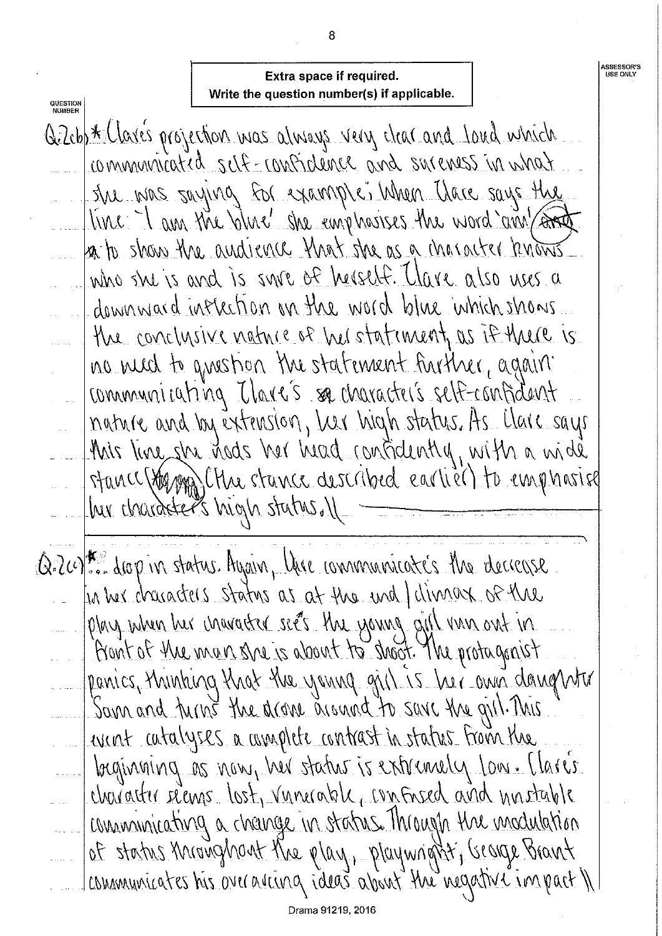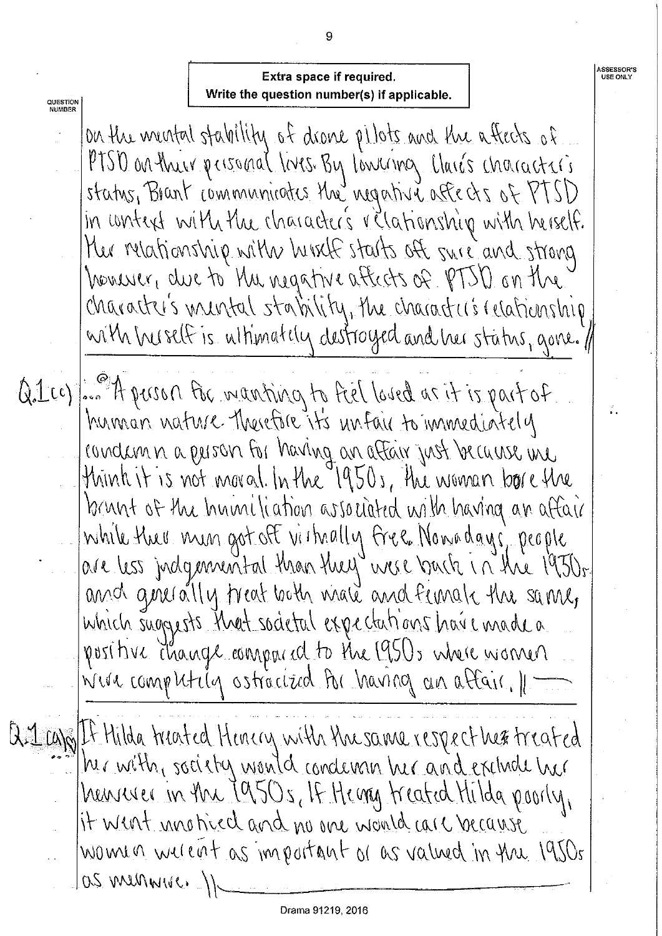## Extra space if required. Write the question number(s) if applicable.

QUESTION<br>NUMBER

**ASSESSOR'S** 

USE ONLY

 $\frac{1}{2}$ 

on the mental stability of drone pilots and the attects of PTSD on their personal lives By Lowernoy Clarés characters status, Brant communicates the negative affects of PTSD in context with the character's relationship with herself. Hu relationship with hirst starts oft sure and strong homency, due to the negative affects of PTSD on the character's muntal stability, the character's relationship with huself is ultimately destroyed and the status, gone. If

Q. Leoples of pusson for manting to feel loved as it is part of hunnan nature therefore it's unfair to immediately condamn a person for having an affair just because une think it is not moved In the 1950s. The woman bore the brunt of the Inniniliation associated with having an affair While the union got off virtually free Nowadays' people<br>|are less judgemental than they were louch in the 1930s and greeally treat both male and funale the same, which suggests that societal expectations have made a positive change composed to the 1950s where women vien computily astrocized to having an affair. 1-

Q. 1 cap It Hilda treated Henery with the same respect her treated her with, society would condenan ber and exclude her henneses in the 1950s, If Henry treated Hilda poorly, it went mnotived and no one would care because women werent as important or as valued in the 1950s  $105$  muniques  $\rightarrow$